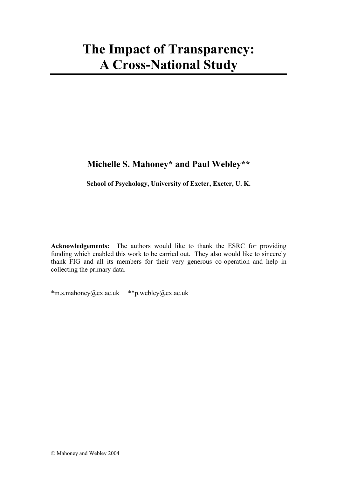# **The Impact of Transparency: A Cross-National Study**

# **Michelle S. Mahoney\* and Paul Webley\*\***

**School of Psychology, University of Exeter, Exeter, U. K.** 

**Acknowledgements:** The authors would like to thank the ESRC for providing funding which enabled this work to be carried out. They also would like to sincerely thank FIG and all its members for their very generous co-operation and help in collecting the primary data.

\*m.s.mahoney@ex.ac.uk \*\*p.webley@ex.ac.uk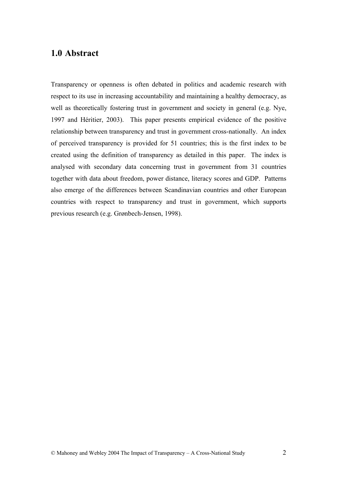# **1.0 Abstract**

Transparency or openness is often debated in politics and academic research with respect to its use in increasing accountability and maintaining a healthy democracy, as well as theoretically fostering trust in government and society in general (e.g. Nye, 1997 and Héritier, 2003). This paper presents empirical evidence of the positive relationship between transparency and trust in government cross-nationally. An index of perceived transparency is provided for 51 countries; this is the first index to be created using the definition of transparency as detailed in this paper. The index is analysed with secondary data concerning trust in government from 31 countries together with data about freedom, power distance, literacy scores and GDP. Patterns also emerge of the differences between Scandinavian countries and other European countries with respect to transparency and trust in government, which supports previous research (e.g. Grønbech-Jensen, 1998).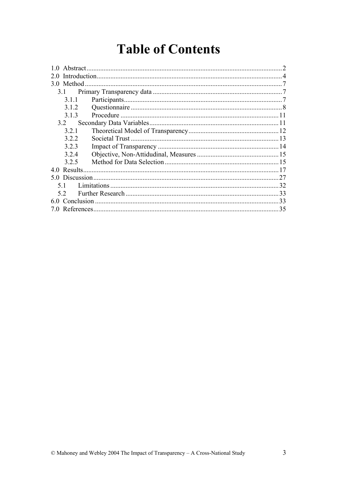# **Table of Contents**

| 1.0 Abstract. |  |    |  |  |
|---------------|--|----|--|--|
|               |  |    |  |  |
| 3.0 Method    |  |    |  |  |
| 3.1           |  |    |  |  |
| 3.1.1         |  |    |  |  |
| 312           |  |    |  |  |
| 313           |  |    |  |  |
| 3.2           |  |    |  |  |
| 321           |  |    |  |  |
| 322           |  |    |  |  |
| 323           |  |    |  |  |
| 3.2.4         |  |    |  |  |
| 325           |  |    |  |  |
|               |  |    |  |  |
|               |  |    |  |  |
| 51            |  | 32 |  |  |
| 33<br>52      |  |    |  |  |
| 33            |  |    |  |  |
| 7 O           |  |    |  |  |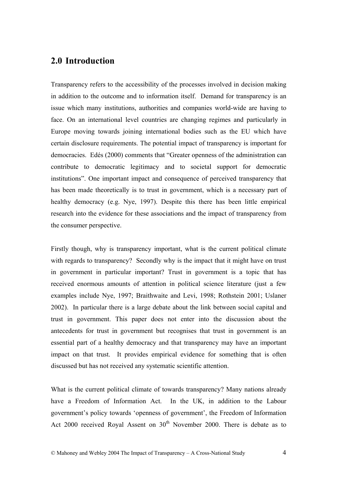# **2.0 Introduction**

Transparency refers to the accessibility of the processes involved in decision making in addition to the outcome and to information itself. Demand for transparency is an issue which many institutions, authorities and companies world-wide are having to face. On an international level countries are changing regimes and particularly in Europe moving towards joining international bodies such as the EU which have certain disclosure requirements. The potential impact of transparency is important for democracies. Edés (2000) comments that "Greater openness of the administration can contribute to democratic legitimacy and to societal support for democratic institutions". One important impact and consequence of perceived transparency that has been made theoretically is to trust in government, which is a necessary part of healthy democracy (e.g. Nye, 1997). Despite this there has been little empirical research into the evidence for these associations and the impact of transparency from the consumer perspective.

Firstly though, why is transparency important, what is the current political climate with regards to transparency? Secondly why is the impact that it might have on trust in government in particular important? Trust in government is a topic that has received enormous amounts of attention in political science literature (just a few examples include Nye, 1997; Braithwaite and Levi, 1998; Rothstein 2001; Uslaner 2002). In particular there is a large debate about the link between social capital and trust in government. This paper does not enter into the discussion about the antecedents for trust in government but recognises that trust in government is an essential part of a healthy democracy and that transparency may have an important impact on that trust. It provides empirical evidence for something that is often discussed but has not received any systematic scientific attention.

What is the current political climate of towards transparency? Many nations already have a Freedom of Information Act. In the UK, in addition to the Labour government's policy towards 'openness of government', the Freedom of Information Act 2000 received Royal Assent on  $30<sup>th</sup>$  November 2000. There is debate as to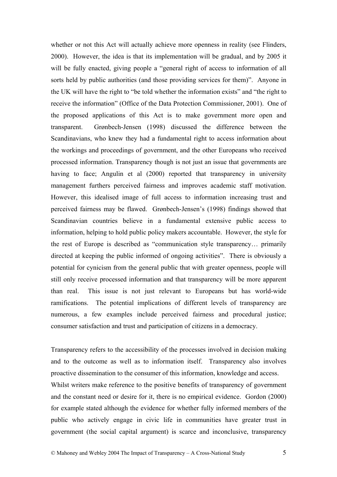whether or not this Act will actually achieve more openness in reality (see Flinders, 2000). However, the idea is that its implementation will be gradual, and by 2005 it will be fully enacted, giving people a "general right of access to information of all sorts held by public authorities (and those providing services for them)". Anyone in the UK will have the right to "be told whether the information exists" and "the right to receive the information" (Office of the Data Protection Commissioner, 2001). One of the proposed applications of this Act is to make government more open and transparent. Grønbech-Jensen (1998) discussed the difference between the Scandinavians, who knew they had a fundamental right to access information about the workings and proceedings of government, and the other Europeans who received processed information. Transparency though is not just an issue that governments are having to face; Angulin et al (2000) reported that transparency in university management furthers perceived fairness and improves academic staff motivation. However, this idealised image of full access to information increasing trust and perceived fairness may be flawed. Grønbech-Jensen's (1998) findings showed that Scandinavian countries believe in a fundamental extensive public access to information, helping to hold public policy makers accountable. However, the style for the rest of Europe is described as "communication style transparency… primarily directed at keeping the public informed of ongoing activities". There is obviously a potential for cynicism from the general public that with greater openness, people will still only receive processed information and that transparency will be more apparent than real. This issue is not just relevant to Europeans but has world-wide ramifications. The potential implications of different levels of transparency are numerous, a few examples include perceived fairness and procedural justice; consumer satisfaction and trust and participation of citizens in a democracy.

Transparency refers to the accessibility of the processes involved in decision making and to the outcome as well as to information itself. Transparency also involves proactive dissemination to the consumer of this information, knowledge and access. Whilst writers make reference to the positive benefits of transparency of government and the constant need or desire for it, there is no empirical evidence. Gordon (2000) for example stated although the evidence for whether fully informed members of the public who actively engage in civic life in communities have greater trust in government (the social capital argument) is scarce and inconclusive, transparency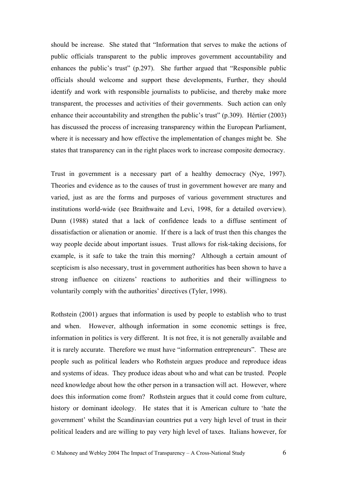should be increase. She stated that "Information that serves to make the actions of public officials transparent to the public improves government accountability and enhances the public's trust" (p.297). She further argued that "Responsible public officials should welcome and support these developments, Further, they should identify and work with responsible journalists to publicise, and thereby make more transparent, the processes and activities of their governments. Such action can only enhance their accountability and strengthen the public's trust" (p.309). Hértier (2003) has discussed the process of increasing transparency within the European Parliament, where it is necessary and how effective the implementation of changes might be. She states that transparency can in the right places work to increase composite democracy.

Trust in government is a necessary part of a healthy democracy (Nye, 1997). Theories and evidence as to the causes of trust in government however are many and varied, just as are the forms and purposes of various government structures and institutions world-wide (see Braithwaite and Levi, 1998, for a detailed overview). Dunn (1988) stated that a lack of confidence leads to a diffuse sentiment of dissatisfaction or alienation or anomie. If there is a lack of trust then this changes the way people decide about important issues. Trust allows for risk-taking decisions, for example, is it safe to take the train this morning? Although a certain amount of scepticism is also necessary, trust in government authorities has been shown to have a strong influence on citizens' reactions to authorities and their willingness to voluntarily comply with the authorities' directives (Tyler, 1998).

Rothstein (2001) argues that information is used by people to establish who to trust and when. However, although information in some economic settings is free, information in politics is very different. It is not free, it is not generally available and it is rarely accurate. Therefore we must have "information entrepreneurs". These are people such as political leaders who Rothstein argues produce and reproduce ideas and systems of ideas. They produce ideas about who and what can be trusted. People need knowledge about how the other person in a transaction will act. However, where does this information come from? Rothstein argues that it could come from culture, history or dominant ideology. He states that it is American culture to 'hate the government' whilst the Scandinavian countries put a very high level of trust in their political leaders and are willing to pay very high level of taxes. Italians however, for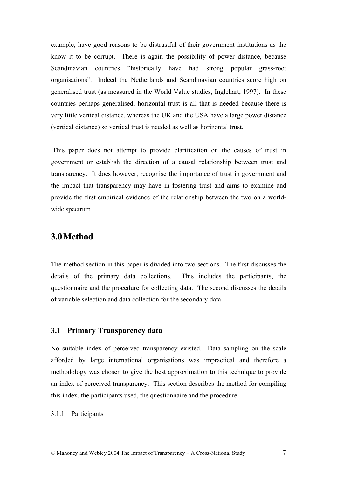example, have good reasons to be distrustful of their government institutions as the know it to be corrupt. There is again the possibility of power distance, because Scandinavian countries "historically have had strong popular grass-root organisations". Indeed the Netherlands and Scandinavian countries score high on generalised trust (as measured in the World Value studies, Inglehart, 1997). In these countries perhaps generalised, horizontal trust is all that is needed because there is very little vertical distance, whereas the UK and the USA have a large power distance (vertical distance) so vertical trust is needed as well as horizontal trust.

 This paper does not attempt to provide clarification on the causes of trust in government or establish the direction of a causal relationship between trust and transparency. It does however, recognise the importance of trust in government and the impact that transparency may have in fostering trust and aims to examine and provide the first empirical evidence of the relationship between the two on a worldwide spectrum.

## **3.0Method**

The method section in this paper is divided into two sections. The first discusses the details of the primary data collections. This includes the participants, the questionnaire and the procedure for collecting data. The second discusses the details of variable selection and data collection for the secondary data.

## **3.1 Primary Transparency data**

No suitable index of perceived transparency existed. Data sampling on the scale afforded by large international organisations was impractical and therefore a methodology was chosen to give the best approximation to this technique to provide an index of perceived transparency. This section describes the method for compiling this index, the participants used, the questionnaire and the procedure.

### 3.1.1 Participants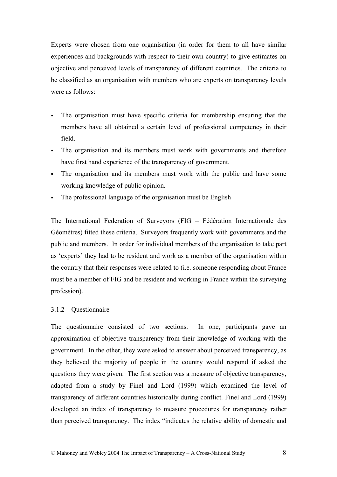Experts were chosen from one organisation (in order for them to all have similar experiences and backgrounds with respect to their own country) to give estimates on objective and perceived levels of transparency of different countries. The criteria to be classified as an organisation with members who are experts on transparency levels were as follows:

- The organisation must have specific criteria for membership ensuring that the members have all obtained a certain level of professional competency in their field.
- The organisation and its members must work with governments and therefore have first hand experience of the transparency of government.
- The organisation and its members must work with the public and have some working knowledge of public opinion.
- The professional language of the organisation must be English

The International Federation of Surveyors (FIG – Fédération Internationale des Géomètres) fitted these criteria. Surveyors frequently work with governments and the public and members. In order for individual members of the organisation to take part as 'experts' they had to be resident and work as a member of the organisation within the country that their responses were related to (i.e. someone responding about France must be a member of FIG and be resident and working in France within the surveying profession).

### 3.1.2 Questionnaire

The questionnaire consisted of two sections. In one, participants gave an approximation of objective transparency from their knowledge of working with the government. In the other, they were asked to answer about perceived transparency, as they believed the majority of people in the country would respond if asked the questions they were given. The first section was a measure of objective transparency, adapted from a study by Finel and Lord (1999) which examined the level of transparency of different countries historically during conflict. Finel and Lord (1999) developed an index of transparency to measure procedures for transparency rather than perceived transparency. The index "indicates the relative ability of domestic and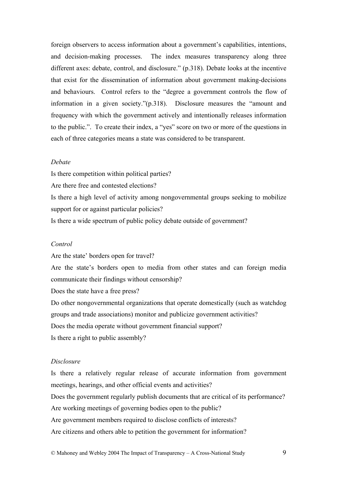foreign observers to access information about a government's capabilities, intentions, and decision-making processes. The index measures transparency along three different axes: debate, control, and disclosure." (p.318). Debate looks at the incentive that exist for the dissemination of information about government making-decisions and behaviours. Control refers to the "degree a government controls the flow of information in a given society."(p.318). Disclosure measures the "amount and frequency with which the government actively and intentionally releases information to the public.". To create their index, a "yes" score on two or more of the questions in each of three categories means a state was considered to be transparent.

### *Debate*

Is there competition within political parties?

Are there free and contested elections?

Is there a high level of activity among nongovernmental groups seeking to mobilize support for or against particular policies?

Is there a wide spectrum of public policy debate outside of government?

#### *Control*

Are the state' borders open for travel?

Are the state's borders open to media from other states and can foreign media communicate their findings without censorship?

Does the state have a free press?

Do other nongovernmental organizations that operate domestically (such as watchdog groups and trade associations) monitor and publicize government activities? Does the media operate without government financial support? Is there a right to public assembly?

#### *Disclosure*

Is there a relatively regular release of accurate information from government meetings, hearings, and other official events and activities?

Does the government regularly publish documents that are critical of its performance?

Are working meetings of governing bodies open to the public?

Are government members required to disclose conflicts of interests?

Are citizens and others able to petition the government for information?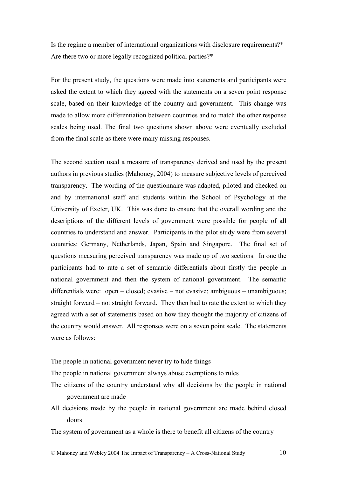Is the regime a member of international organizations with disclosure requirements?\* Are there two or more legally recognized political parties?\*

For the present study, the questions were made into statements and participants were asked the extent to which they agreed with the statements on a seven point response scale, based on their knowledge of the country and government. This change was made to allow more differentiation between countries and to match the other response scales being used. The final two questions shown above were eventually excluded from the final scale as there were many missing responses.

The second section used a measure of transparency derived and used by the present authors in previous studies (Mahoney, 2004) to measure subjective levels of perceived transparency. The wording of the questionnaire was adapted, piloted and checked on and by international staff and students within the School of Psychology at the University of Exeter, UK. This was done to ensure that the overall wording and the descriptions of the different levels of government were possible for people of all countries to understand and answer. Participants in the pilot study were from several countries: Germany, Netherlands, Japan, Spain and Singapore. The final set of questions measuring perceived transparency was made up of two sections. In one the participants had to rate a set of semantic differentials about firstly the people in national government and then the system of national government. The semantic differentials were: open – closed; evasive – not evasive; ambiguous – unambiguous; straight forward – not straight forward. They then had to rate the extent to which they agreed with a set of statements based on how they thought the majority of citizens of the country would answer. All responses were on a seven point scale. The statements were as follows:

The people in national government never try to hide things

The people in national government always abuse exemptions to rules

- The citizens of the country understand why all decisions by the people in national government are made
- All decisions made by the people in national government are made behind closed doors

The system of government as a whole is there to benefit all citizens of the country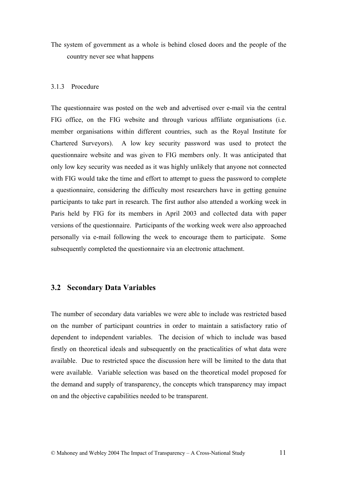The system of government as a whole is behind closed doors and the people of the country never see what happens

#### 3.1.3 Procedure

The questionnaire was posted on the web and advertised over e-mail via the central FIG office, on the FIG website and through various affiliate organisations (i.e. member organisations within different countries, such as the Royal Institute for Chartered Surveyors). A low key security password was used to protect the questionnaire website and was given to FIG members only. It was anticipated that only low key security was needed as it was highly unlikely that anyone not connected with FIG would take the time and effort to attempt to guess the password to complete a questionnaire, considering the difficulty most researchers have in getting genuine participants to take part in research. The first author also attended a working week in Paris held by FIG for its members in April 2003 and collected data with paper versions of the questionnaire. Participants of the working week were also approached personally via e-mail following the week to encourage them to participate. Some subsequently completed the questionnaire via an electronic attachment.

### **3.2 Secondary Data Variables**

The number of secondary data variables we were able to include was restricted based on the number of participant countries in order to maintain a satisfactory ratio of dependent to independent variables. The decision of which to include was based firstly on theoretical ideals and subsequently on the practicalities of what data were available. Due to restricted space the discussion here will be limited to the data that were available. Variable selection was based on the theoretical model proposed for the demand and supply of transparency, the concepts which transparency may impact on and the objective capabilities needed to be transparent.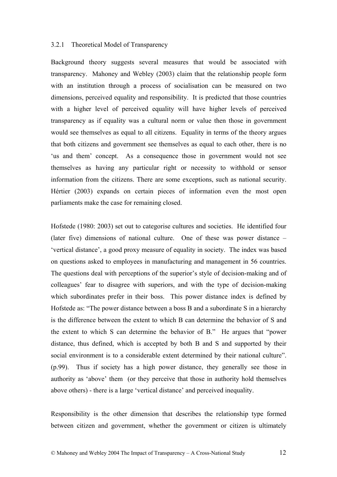#### 3.2.1 Theoretical Model of Transparency

Background theory suggests several measures that would be associated with transparency. Mahoney and Webley (2003) claim that the relationship people form with an institution through a process of socialisation can be measured on two dimensions, perceived equality and responsibility. It is predicted that those countries with a higher level of perceived equality will have higher levels of perceived transparency as if equality was a cultural norm or value then those in government would see themselves as equal to all citizens. Equality in terms of the theory argues that both citizens and government see themselves as equal to each other, there is no 'us and them' concept. As a consequence those in government would not see themselves as having any particular right or necessity to withhold or sensor information from the citizens. There are some exceptions, such as national security. Hértier (2003) expands on certain pieces of information even the most open parliaments make the case for remaining closed.

Hofstede (1980: 2003) set out to categorise cultures and societies. He identified four (later five) dimensions of national culture. One of these was power distance – 'vertical distance', a good proxy measure of equality in society. The index was based on questions asked to employees in manufacturing and management in 56 countries. The questions deal with perceptions of the superior's style of decision-making and of colleagues' fear to disagree with superiors, and with the type of decision-making which subordinates prefer in their boss. This power distance index is defined by Hofstede as: "The power distance between a boss B and a subordinate S in a hierarchy is the difference between the extent to which B can determine the behavior of S and the extent to which S can determine the behavior of B." He argues that "power distance, thus defined, which is accepted by both B and S and supported by their social environment is to a considerable extent determined by their national culture". (p.99). Thus if society has a high power distance, they generally see those in authority as 'above' them (or they perceive that those in authority hold themselves above others) - there is a large 'vertical distance' and perceived inequality.

Responsibility is the other dimension that describes the relationship type formed between citizen and government, whether the government or citizen is ultimately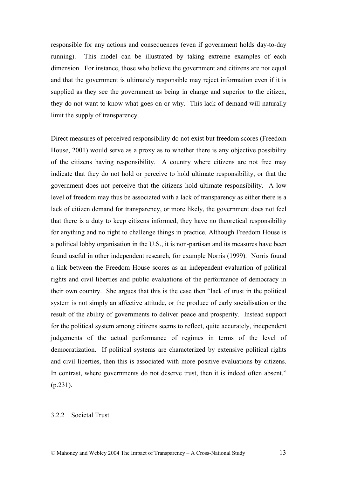responsible for any actions and consequences (even if government holds day-to-day running). This model can be illustrated by taking extreme examples of each dimension. For instance, those who believe the government and citizens are not equal and that the government is ultimately responsible may reject information even if it is supplied as they see the government as being in charge and superior to the citizen, they do not want to know what goes on or why. This lack of demand will naturally limit the supply of transparency.

Direct measures of perceived responsibility do not exist but freedom scores (Freedom House, 2001) would serve as a proxy as to whether there is any objective possibility of the citizens having responsibility. A country where citizens are not free may indicate that they do not hold or perceive to hold ultimate responsibility, or that the government does not perceive that the citizens hold ultimate responsibility. A low level of freedom may thus be associated with a lack of transparency as either there is a lack of citizen demand for transparency, or more likely, the government does not feel that there is a duty to keep citizens informed, they have no theoretical responsibility for anything and no right to challenge things in practice. Although Freedom House is a political lobby organisation in the U.S., it is non-partisan and its measures have been found useful in other independent research, for example Norris (1999). Norris found a link between the Freedom House scores as an independent evaluation of political rights and civil liberties and public evaluations of the performance of democracy in their own country. She argues that this is the case then "lack of trust in the political system is not simply an affective attitude, or the produce of early socialisation or the result of the ability of governments to deliver peace and prosperity. Instead support for the political system among citizens seems to reflect, quite accurately, independent judgements of the actual performance of regimes in terms of the level of democratization. If political systems are characterized by extensive political rights and civil liberties, then this is associated with more positive evaluations by citizens. In contrast, where governments do not deserve trust, then it is indeed often absent."  $(p.231)$ .

#### 3.2.2 Societal Trust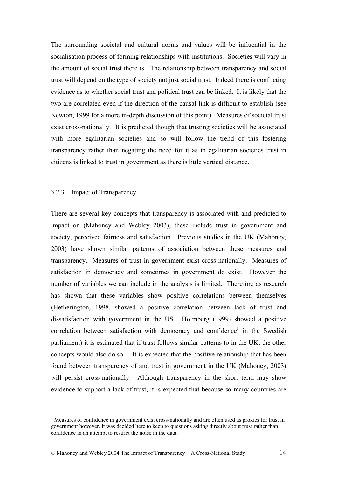The surrounding societal and cultural norms and values will be influential in the socialisation process of forming relationships with institutions. Societies will vary in the amount of social trust there is. The relationship between transparency and social trust will depend on the type of society not just social trust. Indeed there is conflicting evidence as to whether social trust and political trust can be linked. It is likely that the two are correlated even if the direction of the causal link is difficult to establish (see Newton, 1999 for a more in-depth discussion of this point). Measures of societal trust exist cross-nationally. It is predicted though that trusting societies will be associated with more egalitarian societies and so will follow the trend of this fostering transparency rather than negating the need for it as in egalitarian societies trust in citizens is linked to trust in government as there is little vertical distance.

#### 3.2.3 Impact of Transparency

 $\overline{a}$ 

There are several key concepts that transparency is associated with and predicted to impact on (Mahoney and Webley 2003), these include trust in government and society, perceived fairness and satisfaction. Previous studies in the UK (Mahoney, 2003) have shown similar patterns of association between these measures and transparency. Measures of trust in government exist cross-nationally. Measures of satisfaction in democracy and sometimes in government do exist. However the number of variables we can include in the analysis is limited. Therefore as research has shown that these variables show positive correlations between themselves (Hetherington, 1998, showed a positive correlation between lack of trust and dissatisfaction with government in the US. Holmberg (1999) showed a positive correlation between satisfaction with democracy and confidence<sup>1</sup> in the Swedish parliament) it is estimated that if trust follows similar patterns to in the UK, the other concepts would also do so. It is expected that the positive relationship that has been found between transparency of and trust in government in the UK (Mahoney, 2003) will persist cross-nationally. Although transparency in the short term may show evidence to support a lack of trust, it is expected that because so many countries are

<sup>&</sup>lt;sup>1</sup> Measures of confidence in government exist cross-nationally and are often used as proxies for trust in government however, it was decided here to keep to questions asking directly about trust rather than confidence in an attempt to restrict the noise in the data.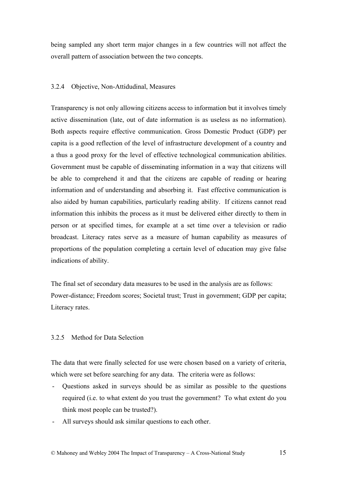being sampled any short term major changes in a few countries will not affect the overall pattern of association between the two concepts.

## 3.2.4 Objective, Non-Attidudinal, Measures

Transparency is not only allowing citizens access to information but it involves timely active dissemination (late, out of date information is as useless as no information). Both aspects require effective communication. Gross Domestic Product (GDP) per capita is a good reflection of the level of infrastructure development of a country and a thus a good proxy for the level of effective technological communication abilities. Government must be capable of disseminating information in a way that citizens will be able to comprehend it and that the citizens are capable of reading or hearing information and of understanding and absorbing it. Fast effective communication is also aided by human capabilities, particularly reading ability. If citizens cannot read information this inhibits the process as it must be delivered either directly to them in person or at specified times, for example at a set time over a television or radio broadcast. Literacy rates serve as a measure of human capability as measures of proportions of the population completing a certain level of education may give false indications of ability.

The final set of secondary data measures to be used in the analysis are as follows: Power-distance; Freedom scores; Societal trust; Trust in government; GDP per capita; Literacy rates.

### 3.2.5 Method for Data Selection

The data that were finally selected for use were chosen based on a variety of criteria, which were set before searching for any data. The criteria were as follows:

- Questions asked in surveys should be as similar as possible to the questions required (i.e. to what extent do you trust the government? To what extent do you think most people can be trusted?).
- All surveys should ask similar questions to each other.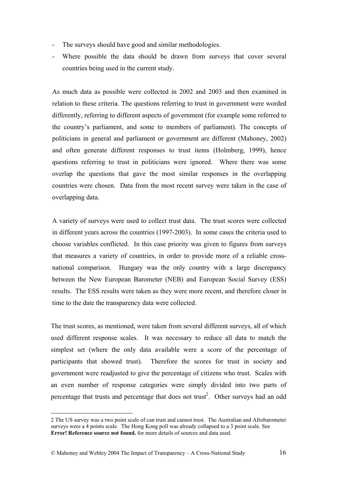- The surveys should have good and similar methodologies.
- Where possible the data should be drawn from surveys that cover several countries being used in the current study.

As much data as possible were collected in 2002 and 2003 and then examined in relation to these criteria. The questions referring to trust in government were worded differently, referring to different aspects of government (for example some referred to the country's parliament, and some to members of parliament). The concepts of politicians in general and parliament or government are different (Mahoney, 2002) and often generate different responses to trust items (Holmberg, 1999), hence questions referring to trust in politicians were ignored. Where there was some overlap the questions that gave the most similar responses in the overlapping countries were chosen. Data from the most recent survey were taken in the case of overlapping data.

A variety of surveys were used to collect trust data. The trust scores were collected in different years across the countries (1997-2003). In some cases the criteria used to choose variables conflicted. In this case priority was given to figures from surveys that measures a variety of countries, in order to provide more of a reliable crossnational comparison. Hungary was the only country with a large discrepancy between the New European Barometer (NEB) and European Social Survey (ESS) results. The ESS results were taken as they were more recent, and therefore closer in time to the date the transparency data were collected.

The trust scores, as mentioned, were taken from several different surveys, all of which used different response scales. It was necessary to reduce all data to match the simplest set (where the only data available were a score of the percentage of participants that showed trust). Therefore the scores for trust in society and government were readjusted to give the percentage of citizens who trust. Scales with an even number of response categories were simply divided into two parts of percentage that trusts and percentage that does not trust<sup>2</sup>. Other surveys had an odd

 $\overline{a}$ 

<sup>2</sup> The US survey was a two point scale of can trust and cannot trust. The Australian and Afrobarometer surveys were a 4 points scale. The Hong Kong poll was already collapsed to a 3 point scale. See **Error! Reference source not found.** for more details of sources and data used.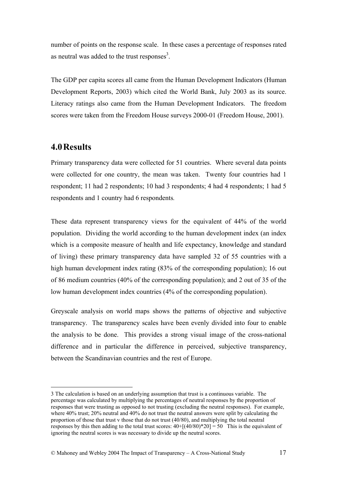number of points on the response scale. In these cases a percentage of responses rated as neutral was added to the trust responses<sup>3</sup>.

The GDP per capita scores all came from the Human Development Indicators (Human Development Reports, 2003) which cited the World Bank, July 2003 as its source. Literacy ratings also came from the Human Development Indicators. The freedom scores were taken from the Freedom House surveys 2000-01 (Freedom House, 2001).

## **4.0Results**

 $\overline{a}$ 

Primary transparency data were collected for 51 countries. Where several data points were collected for one country, the mean was taken. Twenty four countries had 1 respondent; 11 had 2 respondents; 10 had 3 respondents; 4 had 4 respondents; 1 had 5 respondents and 1 country had 6 respondents*.* 

These data represent transparency views for the equivalent of 44% of the world population. Dividing the world according to the human development index (an index which is a composite measure of health and life expectancy, knowledge and standard of living) these primary transparency data have sampled 32 of 55 countries with a high human development index rating (83% of the corresponding population); 16 out of 86 medium countries (40% of the corresponding population); and 2 out of 35 of the low human development index countries (4% of the corresponding population).

Greyscale analysis on world maps shows the patterns of objective and subjective transparency. The transparency scales have been evenly divided into four to enable the analysis to be done. This provides a strong visual image of the cross-national difference and in particular the difference in perceived, subjective transparency, between the Scandinavian countries and the rest of Europe.

<sup>3</sup> The calculation is based on an underlying assumption that trust is a continuous variable. The percentage was calculated by multiplying the percentages of neutral responses by the proportion of responses that were trusting as opposed to not trusting (excluding the neutral responses). For example, where 40% trust; 20% neutral and 40% do not trust the neutral answers were split by calculating the proportion of those that trust v those that do not trust (40/80), and multiplying the total neutral responses by this then adding to the total trust scores:  $40+[((40/80)*20] = 50$  This is the equivalent of ignoring the neutral scores is was necessary to divide up the neutral scores.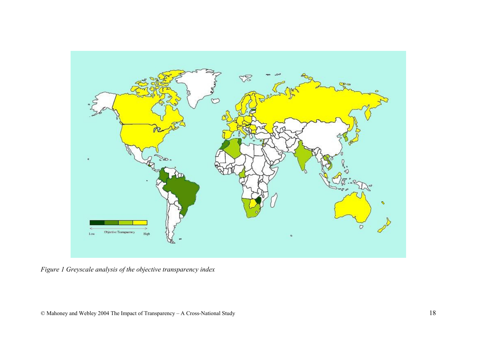

*Figure 1 Greyscale analysis of the objective transparency index*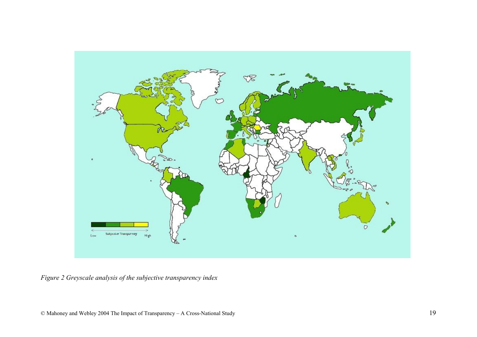

*Figure 2 Greyscale analysis of the subjective transparency index*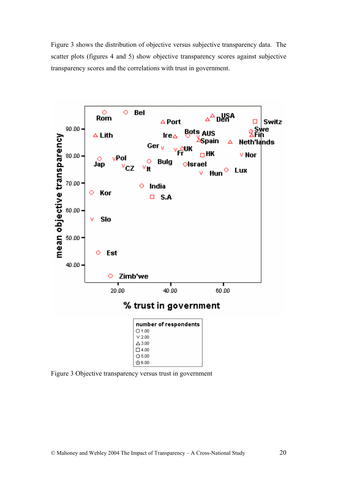Figure 3 shows the distribution of objective versus subjective transparency data. The scatter plots (figures 4 and 5) show objective transparency scores against subjective transparency scores and the correlations with trust in government.



Figure 3 Objective transparency versus trust in government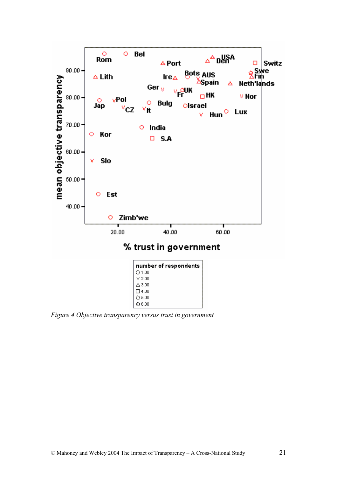

*Figure 4 Objective transparency versus trust in government*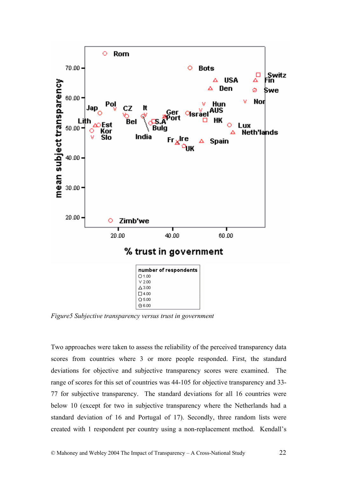

*Figure5 Subjective transparency versus trust in government* 

Two approaches were taken to assess the reliability of the perceived transparency data scores from countries where 3 or more people responded. First, the standard deviations for objective and subjective transparency scores were examined. The range of scores for this set of countries was 44-105 for objective transparency and 33- 77 for subjective transparency. The standard deviations for all 16 countries were below 10 (except for two in subjective transparency where the Netherlands had a standard deviation of 16 and Portugal of 17). Secondly, three random lists were created with 1 respondent per country using a non-replacement method. Kendall's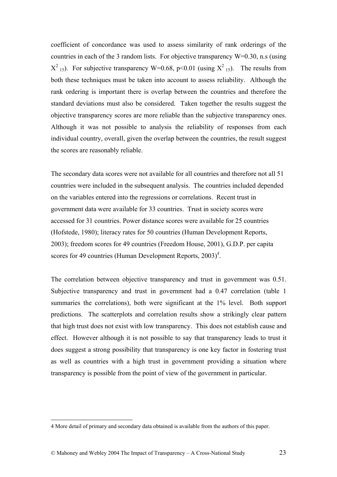coefficient of concordance was used to assess similarity of rank orderings of the countries in each of the 3 random lists. For objective transparency  $W=0.30$ , n.s (using  $X^2$ <sub>15</sub>). For subjective transparency W=0.68, p<0.01 (using  $X^2$ <sub>15</sub>). The results from both these techniques must be taken into account to assess reliability. Although the rank ordering is important there is overlap between the countries and therefore the standard deviations must also be considered. Taken together the results suggest the objective transparency scores are more reliable than the subjective transparency ones. Although it was not possible to analysis the reliability of responses from each individual country, overall, given the overlap between the countries, the result suggest the scores are reasonably reliable.

The secondary data scores were not available for all countries and therefore not all 51 countries were included in the subsequent analysis. The countries included depended on the variables entered into the regressions or correlations. Recent trust in government data were available for 33 countries. Trust in society scores were accessed for 31 countries. Power distance scores were available for 25 countries (Hofstede, 1980); literacy rates for 50 countries (Human Development Reports, 2003); freedom scores for 49 countries (Freedom House, 2001), G.D.P. per capita scores for 49 countries (Human Development Reports, 2003)<sup>4</sup>.

The correlation between objective transparency and trust in government was 0.51. Subjective transparency and trust in government had a 0.47 correlation (table 1 summaries the correlations), both were significant at the 1% level. Both support predictions. The scatterplots and correlation results show a strikingly clear pattern that high trust does not exist with low transparency. This does not establish cause and effect. However although it is not possible to say that transparency leads to trust it does suggest a strong possibility that transparency is one key factor in fostering trust as well as countries with a high trust in government providing a situation where transparency is possible from the point of view of the government in particular.

 $\overline{a}$ 

<sup>4</sup> More detail of primary and secondary data obtained is available from the authors of this paper.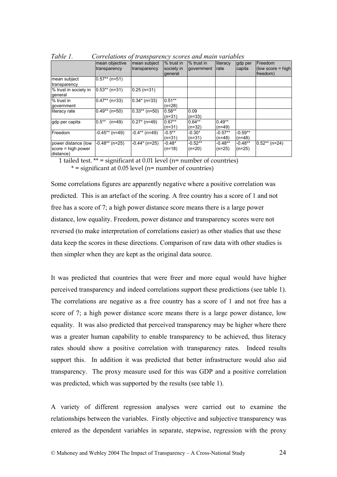| 1 UU I I .<br>Correlations of transparency scores and main variables |                      |                 |            |            |           |           |                           |
|----------------------------------------------------------------------|----------------------|-----------------|------------|------------|-----------|-----------|---------------------------|
|                                                                      | mean objective       | mean subject    | % trust in | % trust in | literacy  | gdp per   | Freedom                   |
|                                                                      | transparency         | transparency    | society in | government | rate      | capita    | $\left($ low score = high |
|                                                                      |                      |                 | general    |            |           |           | freedom)                  |
| mean subject                                                         | $0.57**$ (n=51)      |                 |            |            |           |           |                           |
| transparency                                                         |                      |                 |            |            |           |           |                           |
| % trust in society in                                                | $0.53**$ (n=31)      | $0.25$ (n=31)   |            |            |           |           |                           |
| general                                                              |                      |                 |            |            |           |           |                           |
| % trust in                                                           | $0.47**$ (n=33)      | $0.34*(n=33)$   | $0.51***$  |            |           |           |                           |
| government                                                           |                      |                 | $(n=28)$   |            |           |           |                           |
| literacy rate                                                        | $0.49**$ (n=50)      | $0.33**$ (n=50) | $0.58**$   | 0.09       |           |           |                           |
|                                                                      |                      |                 | $(n=31)$   | $(n=33)$   |           |           |                           |
| gdp per capita                                                       | $0.5***$<br>$(n=49)$ | $0.27$ * (n=49) | $0.67**$   | $0.64***$  | $0.49**$  |           |                           |
|                                                                      |                      |                 | $(n=31)$   | $(n=32)$   | $(n=49)$  |           |                           |
| Freedom                                                              | $-0.45**$ (n=49)     | $-0.4**$ (n=49) | $-0.5***$  | $-0.30*$   | $-0.57**$ | $-0.59**$ |                           |
|                                                                      |                      |                 | $(n=31)$   | $(n=31)$   | $(n=48)$  | $(n=48)$  |                           |
| power distance (low                                                  | $-0.48**$ (n=25)     | -0.44* (n=25)   | $-0.48*$   | $-0.52**$  | $-0.48**$ | $-0.48**$ | $0.52**$ (n=24)           |
| $score = high power$                                                 |                      |                 | $(n=18)$   | $(n=20)$   | $(n=25)$  | $(n=25)$  |                           |
| distance)                                                            |                      |                 |            |            |           |           |                           |

*Table 1. Correlations of transparency scores and main variables* 

1 tailed test. \*\* = significant at 0.01 level (n= number of countries)

 $* =$  significant at 0.05 level (n= number of countries)

Some correlations figures are apparently negative where a positive correlation was predicted. This is an artefact of the scoring. A free country has a score of 1 and not free has a score of 7; a high power distance score means there is a large power distance, low equality. Freedom, power distance and transparency scores were not reversed (to make interpretation of correlations easier) as other studies that use these data keep the scores in these directions. Comparison of raw data with other studies is then simpler when they are kept as the original data source.

It was predicted that countries that were freer and more equal would have higher perceived transparency and indeed correlations support these predictions (see table 1). The correlations are negative as a free country has a score of 1 and not free has a score of 7; a high power distance score means there is a large power distance, low equality. It was also predicted that perceived transparency may be higher where there was a greater human capability to enable transparency to be achieved, thus literacy rates should show a positive correlation with transparency rates. Indeed results support this. In addition it was predicted that better infrastructure would also aid transparency. The proxy measure used for this was GDP and a positive correlation was predicted, which was supported by the results (see table 1).

A variety of different regression analyses were carried out to examine the relationships between the variables. Firstly objective and subjective transparency was entered as the dependent variables in separate, stepwise, regression with the proxy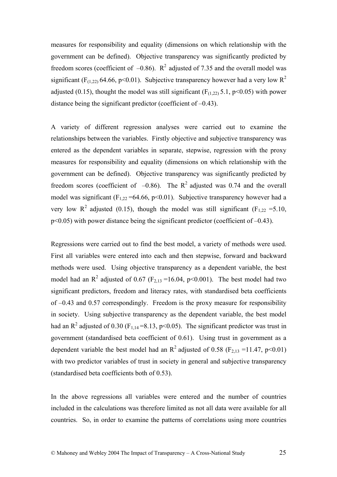measures for responsibility and equality (dimensions on which relationship with the government can be defined). Objective transparency was significantly predicted by freedom scores (coefficient of  $-0.86$ ).  $R^2$  adjusted of 7.35 and the overall model was significant (F<sub>(1,22)</sub> 64.66, p<0.01). Subjective transparency however had a very low  $R^2$ adjusted (0.15), thought the model was still significant ( $F_{(1,22)}$  5.1, p<0.05) with power distance being the significant predictor (coefficient of –0.43).

A variety of different regression analyses were carried out to examine the relationships between the variables. Firstly objective and subjective transparency was entered as the dependent variables in separate, stepwise, regression with the proxy measures for responsibility and equality (dimensions on which relationship with the government can be defined). Objective transparency was significantly predicted by freedom scores (coefficient of  $-0.86$ ). The R<sup>2</sup> adjusted was 0.74 and the overall model was significant (F<sub>1,22</sub> = 64.66, p < 0.01). Subjective transparency however had a very low R<sup>2</sup> adjusted (0.15), though the model was still significant (F<sub>1,22</sub> = 5.10, p<0.05) with power distance being the significant predictor (coefficient of –0.43).

Regressions were carried out to find the best model, a variety of methods were used. First all variables were entered into each and then stepwise, forward and backward methods were used. Using objective transparency as a dependent variable, the best model had an  $R^2$  adjusted of 0.67 ( $F_{2,13}$  =16.04, p<0.001). The best model had two significant predictors, freedom and literacy rates, with standardised beta coefficients of –0.43 and 0.57 correspondingly. Freedom is the proxy measure for responsibility in society. Using subjective transparency as the dependent variable, the best model had an  $R^2$  adjusted of 0.30 (F<sub>1,14</sub> = 8.13, p < 0.05). The significant predictor was trust in government (standardised beta coefficient of 0.61). Using trust in government as a dependent variable the best model had an  $R^2$  adjusted of 0.58 (F<sub>2,13</sub> = 11.47, p<0.01) with two predictor variables of trust in society in general and subjective transparency (standardised beta coefficients both of 0.53).

In the above regressions all variables were entered and the number of countries included in the calculations was therefore limited as not all data were available for all countries. So, in order to examine the patterns of correlations using more countries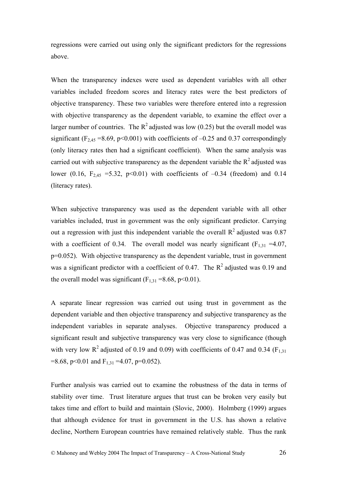regressions were carried out using only the significant predictors for the regressions above.

When the transparency indexes were used as dependent variables with all other variables included freedom scores and literacy rates were the best predictors of objective transparency. These two variables were therefore entered into a regression with objective transparency as the dependent variable, to examine the effect over a larger number of countries. The  $R^2$  adjusted was low (0.25) but the overall model was significant (F<sub>2,45</sub> = 8.69, p<0.001) with coefficients of  $-0.25$  and 0.37 correspondingly (only literacy rates then had a significant coefficient). When the same analysis was carried out with subjective transparency as the dependent variable the  $R^2$  adjusted was lower (0.16,  $F_{2,45}$  =5.32, p<0.01) with coefficients of -0.34 (freedom) and 0.14 (literacy rates).

When subjective transparency was used as the dependent variable with all other variables included, trust in government was the only significant predictor. Carrying out a regression with just this independent variable the overall  $R<sup>2</sup>$  adjusted was 0.87 with a coefficient of 0.34. The overall model was nearly significant  $(F_{1,31} = 4.07)$ , p=0.052). With objective transparency as the dependent variable, trust in government was a significant predictor with a coefficient of 0.47. The  $R^2$  adjusted was 0.19 and the overall model was significant  $(F_{1,31} = 8.68, p \le 0.01)$ .

A separate linear regression was carried out using trust in government as the dependent variable and then objective transparency and subjective transparency as the independent variables in separate analyses. Objective transparency produced a significant result and subjective transparency was very close to significance (though with very low  $R^2$  adjusted of 0.19 and 0.09) with coefficients of 0.47 and 0.34 (F<sub>1,31</sub>) =8.68, p<0.01 and  $F_{1,31}$  =4.07, p=0.052).

Further analysis was carried out to examine the robustness of the data in terms of stability over time. Trust literature argues that trust can be broken very easily but takes time and effort to build and maintain (Slovic, 2000). Holmberg (1999) argues that although evidence for trust in government in the U.S. has shown a relative decline, Northern European countries have remained relatively stable. Thus the rank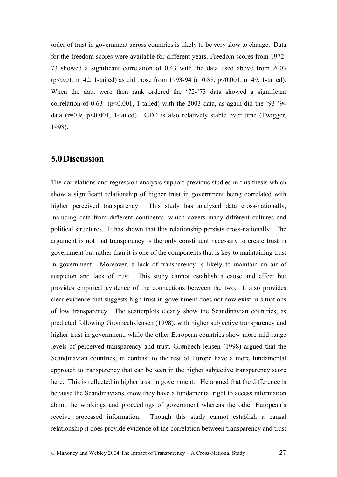order of trust in government across countries is likely to be very slow to change. Data for the freedom scores were available for different years. Freedom scores from 1972- 73 showed a significant correlation of 0.43 with the data used above from 2003 (p<0.01, n=42, 1-tailed) as did those from 1993-94 (r=0.88, p<0.001, n=49, 1-tailed). When the data were then rank ordered the '72-'73 data showed a significant correlation of  $0.63$  (p<0.001, 1-tailed) with the 2003 data, as again did the '93-'94 data ( $r=0.9$ ,  $p<0.001$ , 1-tailed). GDP is also relatively stable over time (Twigger, 1998).

## **5.0Discussion**

The correlations and regression analysis support previous studies in this thesis which show a significant relationship of higher trust in government being correlated with higher perceived transparency. This study has analysed data cross-nationally, including data from different continents, which covers many different cultures and political structures. It has shown that this relationship persists cross-nationally. The argument is not that transparency is the only constituent necessary to create trust in government but rather than it is one of the components that is key to maintaining trust in government. Moreover, a lack of transparency is likely to maintain an air of suspicion and lack of trust. This study cannot establish a cause and effect but provides empirical evidence of the connections between the two. It also provides clear evidence that suggests high trust in government does not now exist in situations of low transparency. The scatterplots clearly show the Scandinavian countries, as predicted following Grønbech-Jensen (1998), with higher subjective transparency and higher trust in government, while the other European countries show more mid-range levels of perceived transparency and trust. Grønbech-Jensen (1998) argued that the Scandinavian countries, in contrast to the rest of Europe have a more fundamental approach to transparency that can be seen in the higher subjective transparency score here. This is reflected in higher trust in government. He argued that the difference is because the Scandinavians know they have a fundamental right to access information about the workings and proceedings of government whereas the other European's receive processed information. Though this study cannot establish a causal relationship it does provide evidence of the correlation between transparency and trust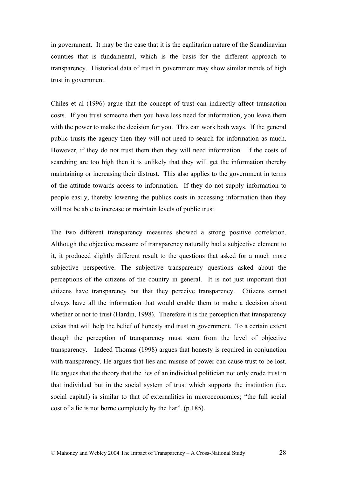in government. It may be the case that it is the egalitarian nature of the Scandinavian counties that is fundamental, which is the basis for the different approach to transparency. Historical data of trust in government may show similar trends of high trust in government.

Chiles et al (1996) argue that the concept of trust can indirectly affect transaction costs. If you trust someone then you have less need for information, you leave them with the power to make the decision for you. This can work both ways. If the general public trusts the agency then they will not need to search for information as much. However, if they do not trust them then they will need information. If the costs of searching are too high then it is unlikely that they will get the information thereby maintaining or increasing their distrust. This also applies to the government in terms of the attitude towards access to information. If they do not supply information to people easily, thereby lowering the publics costs in accessing information then they will not be able to increase or maintain levels of public trust.

The two different transparency measures showed a strong positive correlation. Although the objective measure of transparency naturally had a subjective element to it, it produced slightly different result to the questions that asked for a much more subjective perspective. The subjective transparency questions asked about the perceptions of the citizens of the country in general. It is not just important that citizens have transparency but that they perceive transparency. Citizens cannot always have all the information that would enable them to make a decision about whether or not to trust (Hardin, 1998). Therefore it is the perception that transparency exists that will help the belief of honesty and trust in government. To a certain extent though the perception of transparency must stem from the level of objective transparency. Indeed Thomas (1998) argues that honesty is required in conjunction with transparency. He argues that lies and misuse of power can cause trust to be lost. He argues that the theory that the lies of an individual politician not only erode trust in that individual but in the social system of trust which supports the institution (i.e. social capital) is similar to that of externalities in microeconomics; "the full social cost of a lie is not borne completely by the liar". (p.185).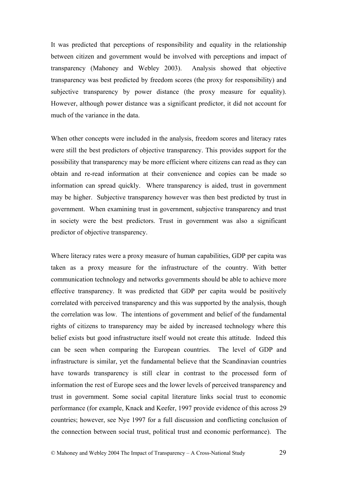It was predicted that perceptions of responsibility and equality in the relationship between citizen and government would be involved with perceptions and impact of transparency (Mahoney and Webley 2003). Analysis showed that objective transparency was best predicted by freedom scores (the proxy for responsibility) and subjective transparency by power distance (the proxy measure for equality). However, although power distance was a significant predictor, it did not account for much of the variance in the data.

When other concepts were included in the analysis, freedom scores and literacy rates were still the best predictors of objective transparency. This provides support for the possibility that transparency may be more efficient where citizens can read as they can obtain and re-read information at their convenience and copies can be made so information can spread quickly. Where transparency is aided, trust in government may be higher. Subjective transparency however was then best predicted by trust in government. When examining trust in government, subjective transparency and trust in society were the best predictors. Trust in government was also a significant predictor of objective transparency.

Where literacy rates were a proxy measure of human capabilities, GDP per capita was taken as a proxy measure for the infrastructure of the country. With better communication technology and networks governments should be able to achieve more effective transparency. It was predicted that GDP per capita would be positively correlated with perceived transparency and this was supported by the analysis, though the correlation was low. The intentions of government and belief of the fundamental rights of citizens to transparency may be aided by increased technology where this belief exists but good infrastructure itself would not create this attitude. Indeed this can be seen when comparing the European countries. The level of GDP and infrastructure is similar, yet the fundamental believe that the Scandinavian countries have towards transparency is still clear in contrast to the processed form of information the rest of Europe sees and the lower levels of perceived transparency and trust in government. Some social capital literature links social trust to economic performance (for example, Knack and Keefer, 1997 provide evidence of this across 29 countries; however, see Nye 1997 for a full discussion and conflicting conclusion of the connection between social trust, political trust and economic performance). The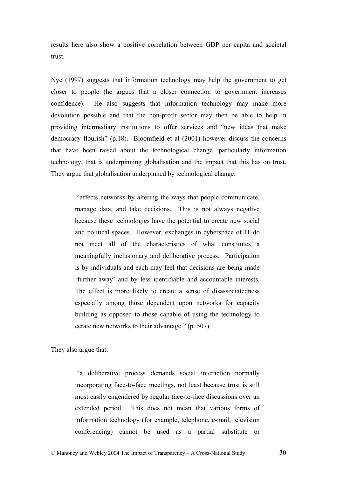results here also show a positive correlation between GDP per capita and societal trust.

Nye (1997) suggests that information technology may help the government to get closer to people (he argues that a closer connection to government increases confidence). He also suggests that information technology may make more devolution possible and that the non-profit sector may then be able to help in providing intermediary institutions to offer services and "new ideas that make democracy flourish" (p.18). Bloomfield et al (2001) however discuss the concerns that have been raised about the technological change, particularly information technology, that is underpinning globalisation and the impact that this has on trust. They argue that globalisation underpinned by technological change:

> "affects networks by altering the ways that people communicate, manage data, and take decisions. This is not always negative because these technologies have the potential to create new social and political spaces. However, exchanges in cyberspace of IT do not meet all of the characteristics of what constitutes a meaningfully inclusionary and deliberative process. Participation is by individuals and each may feel that decisions are being made 'further away' and by less identifiable and accountable interests. The effect is more likely to create a sense of disassociatedness especially among those dependent upon networks for capacity building as opposed to those capable of using the technology to cerate new networks to their advantage." (p. 507).

They also argue that:

 "a deliberative process demands social interaction normally incorporating face-to-face meetings, not least because trust is still most easily engendered by regular face-to-face discussions over an extended period. This does not mean that various forms of information technology (for example, telephone, e-mail, television conferencing) cannot be used as a partial substitute or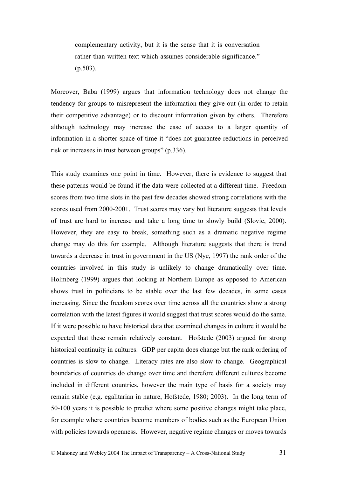complementary activity, but it is the sense that it is conversation rather than written text which assumes considerable significance." (p.503).

Moreover, Baba (1999) argues that information technology does not change the tendency for groups to misrepresent the information they give out (in order to retain their competitive advantage) or to discount information given by others. Therefore although technology may increase the ease of access to a larger quantity of information in a shorter space of time it "does not guarantee reductions in perceived risk or increases in trust between groups" (p.336).

This study examines one point in time. However, there is evidence to suggest that these patterns would be found if the data were collected at a different time. Freedom scores from two time slots in the past few decades showed strong correlations with the scores used from 2000-2001. Trust scores may vary but literature suggests that levels of trust are hard to increase and take a long time to slowly build (Slovic, 2000). However, they are easy to break, something such as a dramatic negative regime change may do this for example. Although literature suggests that there is trend towards a decrease in trust in government in the US (Nye, 1997) the rank order of the countries involved in this study is unlikely to change dramatically over time. Holmberg (1999) argues that looking at Northern Europe as opposed to American shows trust in politicians to be stable over the last few decades, in some cases increasing. Since the freedom scores over time across all the countries show a strong correlation with the latest figures it would suggest that trust scores would do the same. If it were possible to have historical data that examined changes in culture it would be expected that these remain relatively constant. Hofstede (2003) argued for strong historical continuity in cultures. GDP per capita does change but the rank ordering of countries is slow to change. Literacy rates are also slow to change. Geographical boundaries of countries do change over time and therefore different cultures become included in different countries, however the main type of basis for a society may remain stable (e.g. egalitarian in nature, Hofstede, 1980; 2003). In the long term of 50-100 years it is possible to predict where some positive changes might take place, for example where countries become members of bodies such as the European Union with policies towards openness. However, negative regime changes or moves towards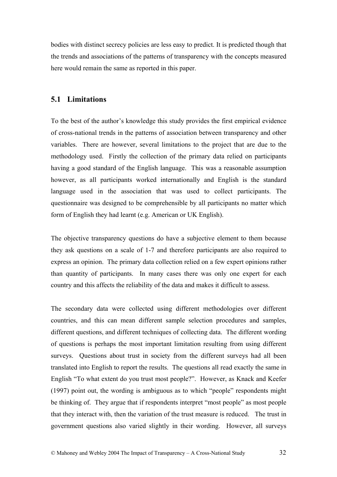bodies with distinct secrecy policies are less easy to predict. It is predicted though that the trends and associations of the patterns of transparency with the concepts measured here would remain the same as reported in this paper.

## **5.1 Limitations**

To the best of the author's knowledge this study provides the first empirical evidence of cross-national trends in the patterns of association between transparency and other variables. There are however, several limitations to the project that are due to the methodology used. Firstly the collection of the primary data relied on participants having a good standard of the English language. This was a reasonable assumption however, as all participants worked internationally and English is the standard language used in the association that was used to collect participants. The questionnaire was designed to be comprehensible by all participants no matter which form of English they had learnt (e.g. American or UK English).

The objective transparency questions do have a subjective element to them because they ask questions on a scale of 1-7 and therefore participants are also required to express an opinion. The primary data collection relied on a few expert opinions rather than quantity of participants. In many cases there was only one expert for each country and this affects the reliability of the data and makes it difficult to assess.

The secondary data were collected using different methodologies over different countries, and this can mean different sample selection procedures and samples, different questions, and different techniques of collecting data. The different wording of questions is perhaps the most important limitation resulting from using different surveys. Questions about trust in society from the different surveys had all been translated into English to report the results. The questions all read exactly the same in English "To what extent do you trust most people?". However, as Knack and Keefer (1997) point out, the wording is ambiguous as to which "people" respondents might be thinking of. They argue that if respondents interpret "most people" as most people that they interact with, then the variation of the trust measure is reduced. The trust in government questions also varied slightly in their wording. However, all surveys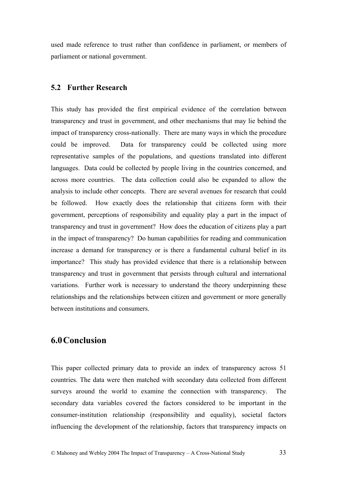used made reference to trust rather than confidence in parliament, or members of parliament or national government.

## **5.2 Further Research**

This study has provided the first empirical evidence of the correlation between transparency and trust in government, and other mechanisms that may lie behind the impact of transparency cross-nationally. There are many ways in which the procedure could be improved. Data for transparency could be collected using more representative samples of the populations, and questions translated into different languages. Data could be collected by people living in the countries concerned, and across more countries. The data collection could also be expanded to allow the analysis to include other concepts. There are several avenues for research that could be followed. How exactly does the relationship that citizens form with their government, perceptions of responsibility and equality play a part in the impact of transparency and trust in government? How does the education of citizens play a part in the impact of transparency? Do human capabilities for reading and communication increase a demand for transparency or is there a fundamental cultural belief in its importance? This study has provided evidence that there is a relationship between transparency and trust in government that persists through cultural and international variations. Further work is necessary to understand the theory underpinning these relationships and the relationships between citizen and government or more generally between institutions and consumers.

# **6.0Conclusion**

This paper collected primary data to provide an index of transparency across 51 countries. The data were then matched with secondary data collected from different surveys around the world to examine the connection with transparency. The secondary data variables covered the factors considered to be important in the consumer-institution relationship (responsibility and equality), societal factors influencing the development of the relationship, factors that transparency impacts on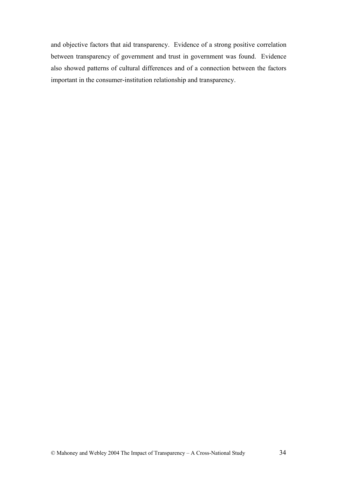and objective factors that aid transparency. Evidence of a strong positive correlation between transparency of government and trust in government was found. Evidence also showed patterns of cultural differences and of a connection between the factors important in the consumer-institution relationship and transparency.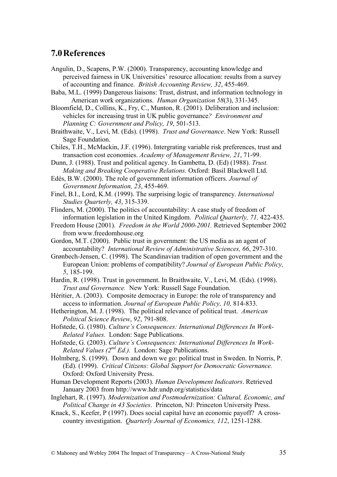## **7.0References**

- Angulin, D., Scapens, P.W. (2000). Transparency, accounting knowledge and perceived fairness in UK Universities' resource allocation: results from a survey of accounting and finance. *British Accounting Review, 32*, 455-469.
- Baba, M.L. (1999) Dangerous liaisons: Trust, distrust, and information technology in American work organizations. *Human Organization 58*(3), 331-345.
- Bloomfield, D., Collins, K., Fry, C., Munton, R. (2001). Deliberation and inclusion: vehicles for increasing trust in UK public governance*? Environment and Planning C: Government and Policy, 19*, 501-513.
- Braithwaite, V., Levi, M. (Eds). (1998). *Trust and Governance*. New York: Russell Sage Foundation.
- Chiles, T.H., McMackin, J.F. (1996). Intergrating variable risk preferences, trust and transaction cost economies. *Academy of Management Review, 21*, 71-99.
- Dunn, J. (1988). Trust and political agency. In Gambetta, D. (Ed) (1988). *Trust. Making and Breaking Cooperative Relations.* Oxford: Basil Blackwell Ltd.
- Edés, B.W. (2000). The role of government information officers. *Journal of Government Information, 23*, 455-469.
- Finel, B.I., Lord, K.M. (1999). The surprising logic of transparency. *International Studies Quarterly, 43*, 315-339.
- Flinders, M. (2000). The politics of accountability: A case study of freedom of information legislation in the United Kingdom. *Political Quarterly, 71,* 422-435.
- Freedom House (2001). *Freedom in the World 2000-2001.* Retrieved September 2002 from www.freedomhouse.org
- Gordon, M.T. (2000). Public trust in government: the US media as an agent of accountability? *International Review of Administrative Sciences, 66*, 297-310.
- Grønbech-Jensen, C. (1998). The Scandinavian tradition of open government and the European Union: problems of compatibility? *Journal of European Public Policy, 5*, 185-199.
- Hardin, R. (1998). Trust in government. In Braithwaite, V., Levi, M. (Eds). (1998). *Trust and Governance.* New York: Russell Sage Foundation.
- Héritier, A. (2003). Composite democracy in Europe: the role of transparency and access to information. *Journal of European Public Policy, 10,* 814-833.
- Hetherington, M. J. (1998). The political relevance of political trust. *American Political Science Review*, *92*, 791-808.
- Hofstede, G. (1980). *Culture's Consequences: International Differences In Work-Related Values.* London: Sage Publications.
- Hofstede, G. (2003). *Culture's Consequences: International Differences In Work-Related Values (2nd Ed.).* London: Sage Publications.
- Holmberg, S. (1999). Down and down we go: political trust in Sweden. In Norris, P. (Ed). (1999). *Critical Citizens: Global Support for Democratic Governance.* Oxford: Oxford University Press.
- Human Development Reports (2003). *Human Development Indicators*. Retrieved January 2003 from http://www.hdr.undp.org/statistics/data
- Inglehart, R. (1997). *Modernization and Postmodernization: Cultural, Economic, and Political Change in 43 Societies*. Princeton, NJ: Princeton University Press.
- Knack, S., Keefer, P (1997). Does social capital have an economic payoff? A crosscountry investigation. *Quarterly Journal of Economics, 112*, 1251-1288.